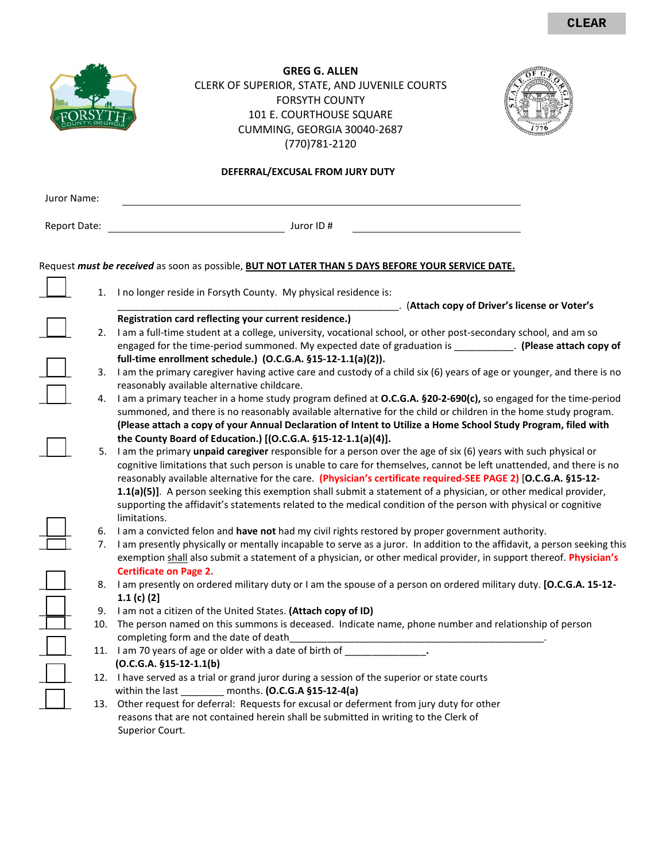|                                                                                                                      |    | <b>GREG G. ALLEN</b><br>CLERK OF SUPERIOR, STATE, AND JUVENILE COURTS<br><b>FORSYTH COUNTY</b><br>101 E. COURTHOUSE SQUARE<br>CUMMING, GEORGIA 30040-2687<br>(770) 781 - 2120                                                                                                                                                                                                                                                                                                               |  |  |
|----------------------------------------------------------------------------------------------------------------------|----|---------------------------------------------------------------------------------------------------------------------------------------------------------------------------------------------------------------------------------------------------------------------------------------------------------------------------------------------------------------------------------------------------------------------------------------------------------------------------------------------|--|--|
|                                                                                                                      |    | DEFERRAL/EXCUSAL FROM JURY DUTY                                                                                                                                                                                                                                                                                                                                                                                                                                                             |  |  |
| Juror Name:                                                                                                          |    |                                                                                                                                                                                                                                                                                                                                                                                                                                                                                             |  |  |
|                                                                                                                      |    |                                                                                                                                                                                                                                                                                                                                                                                                                                                                                             |  |  |
| <b>Report Date:</b>                                                                                                  |    | Juror ID#                                                                                                                                                                                                                                                                                                                                                                                                                                                                                   |  |  |
|                                                                                                                      |    | Request must be received as soon as possible, BUT NOT LATER THAN 5 DAYS BEFORE YOUR SERVICE DATE.                                                                                                                                                                                                                                                                                                                                                                                           |  |  |
| I no longer reside in Forsyth County. My physical residence is:<br>1.<br>(Attach copy of Driver's license or Voter's |    |                                                                                                                                                                                                                                                                                                                                                                                                                                                                                             |  |  |
|                                                                                                                      |    | Registration card reflecting your current residence.)                                                                                                                                                                                                                                                                                                                                                                                                                                       |  |  |
|                                                                                                                      | 2. | I am a full-time student at a college, university, vocational school, or other post-secondary school, and am so                                                                                                                                                                                                                                                                                                                                                                             |  |  |
|                                                                                                                      |    | engaged for the time-period summoned. My expected date of graduation is ____________. (Please attach copy of                                                                                                                                                                                                                                                                                                                                                                                |  |  |
|                                                                                                                      | 3. | full-time enrollment schedule.) (O.C.G.A. §15-12-1.1(a)(2)).<br>I am the primary caregiver having active care and custody of a child six (6) years of age or younger, and there is no                                                                                                                                                                                                                                                                                                       |  |  |
|                                                                                                                      |    | reasonably available alternative childcare.                                                                                                                                                                                                                                                                                                                                                                                                                                                 |  |  |
|                                                                                                                      | 4. | I am a primary teacher in a home study program defined at O.C.G.A. §20-2-690(c), so engaged for the time-period<br>summoned, and there is no reasonably available alternative for the child or children in the home study program.<br>(Please attach a copy of your Annual Declaration of Intent to Utilize a Home School Study Program, filed with                                                                                                                                         |  |  |
|                                                                                                                      | 5. | the County Board of Education.) [(O.C.G.A. §15-12-1.1(a)(4)].<br>I am the primary unpaid caregiver responsible for a person over the age of six (6) years with such physical or                                                                                                                                                                                                                                                                                                             |  |  |
|                                                                                                                      |    | cognitive limitations that such person is unable to care for themselves, cannot be left unattended, and there is no<br>reasonably available alternative for the care. (Physician's certificate required-SEE PAGE 2) [O.C.G.A. §15-12-<br>1.1(a)(5)]. A person seeking this exemption shall submit a statement of a physician, or other medical provider,<br>supporting the affidavit's statements related to the medical condition of the person with physical or cognitive<br>limitations. |  |  |
|                                                                                                                      | 6. | I am a convicted felon and have not had my civil rights restored by proper government authority.                                                                                                                                                                                                                                                                                                                                                                                            |  |  |
|                                                                                                                      |    | 7. I am presently physically or mentally incapable to serve as a juror. In addition to the affidavit, a person seeking this<br>exemption shall also submit a statement of a physician, or other medical provider, in support thereof. Physician's<br><b>Certificate on Page 2.</b>                                                                                                                                                                                                          |  |  |
|                                                                                                                      | 8. | I am presently on ordered military duty or I am the spouse of a person on ordered military duty. [O.C.G.A. 15-12-                                                                                                                                                                                                                                                                                                                                                                           |  |  |
|                                                                                                                      |    | 1.1 $(c)$ $(2)$                                                                                                                                                                                                                                                                                                                                                                                                                                                                             |  |  |
|                                                                                                                      | 9. | I am not a citizen of the United States. (Attach copy of ID)                                                                                                                                                                                                                                                                                                                                                                                                                                |  |  |
|                                                                                                                      |    | 10. The person named on this summons is deceased. Indicate name, phone number and relationship of person                                                                                                                                                                                                                                                                                                                                                                                    |  |  |
|                                                                                                                      |    | completing form and the date of death_                                                                                                                                                                                                                                                                                                                                                                                                                                                      |  |  |
|                                                                                                                      |    | 11. I am 70 years of age or older with a date of birth of ______________.                                                                                                                                                                                                                                                                                                                                                                                                                   |  |  |
|                                                                                                                      |    | $(O.C.G.A. §15-12-1.1(b))$<br>12. I have served as a trial or grand juror during a session of the superior or state courts                                                                                                                                                                                                                                                                                                                                                                  |  |  |
|                                                                                                                      |    | within the last ________ months. (O.C.G.A §15-12-4(a)                                                                                                                                                                                                                                                                                                                                                                                                                                       |  |  |
|                                                                                                                      |    | 13. Other request for deferral: Requests for excusal or deferment from jury duty for other                                                                                                                                                                                                                                                                                                                                                                                                  |  |  |
|                                                                                                                      |    | reasons that are not contained herein shall be submitted in writing to the Clerk of                                                                                                                                                                                                                                                                                                                                                                                                         |  |  |
|                                                                                                                      |    | Superior Court.                                                                                                                                                                                                                                                                                                                                                                                                                                                                             |  |  |